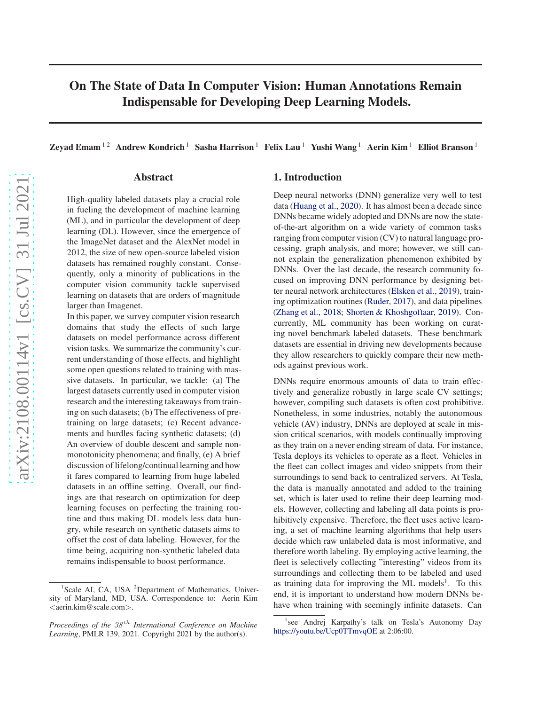# On The State of Data In Computer Vision: Human Annotations Remain Indispensable for Developing Deep Learning Models.

Zeyad Emam<sup>12</sup> Andrew Kondrich<sup>1</sup> Sasha Harrison<sup>1</sup> Felix Lau<sup>1</sup> Yushi Wang<sup>1</sup> Aerin Kim<sup>1</sup> Elliot Branson<sup>1</sup>

### Abstract

High-quality labeled datasets play a crucial role in fueling the development of machine learning (ML), and in particular the development of deep learning (DL). However, since the emergence of the ImageNet dataset and the AlexNet model in 2012, the size of new open-source labeled vision datasets has remained roughly constant. Consequently, only a minority of publications in the computer vision community tackle supervised learning on datasets that are orders of magnitude larger than Imagenet.

In this paper, we survey computer vision research domains that study the effects of such large datasets on model performance across different vision tasks. We summarize the community's current understanding of those effects, and highlight some open questions related to training with massive datasets. In particular, we tackle: (a) The largest datasets currently used in computer vision research and the interesting takeaways from training on such datasets; (b) The effectiveness of pretraining on large datasets; (c) Recent advancements and hurdles facing synthetic datasets; (d) An overview of double descent and sample nonmonotonicity phenomena; and finally, (e) A brief discussion of lifelong/continual learning and how it fares compared to learning from huge labeled datasets in an offline setting. Overall, our findings are that research on optimization for deep learning focuses on perfecting the training routine and thus making DL models less data hungry, while research on synthetic datasets aims to offset the cost of data labeling. However, for the time being, acquiring non-synthetic labeled data remains indispensable to boost performance.

## 1. Introduction

Deep neural networks (DNN) generalize very well to test data [\(Huang et al.,](#page-9-0) [2020\)](#page-9-0). It has almost been a decade since DNNs became widely adopted and DNNs are now the stateof-the-art algorithm on a wide variety of common tasks ranging from computer vision (CV) to natural language processing, graph analysis, and more; however, we still cannot explain the generalization phenomenon exhibited by DNNs. Over the last decade, the research community focused on improving DNN performance by designing better neural network architectures [\(Elsken et al.](#page-8-0), [2019](#page-8-0)), training optimization routines [\(Ruder](#page-11-0), [2017\)](#page-11-0), and data pipelines [\(Zhang et al.,](#page-11-0) [2018;](#page-11-0) [Shorten & Khoshgoftaar](#page-11-0), [2019\)](#page-11-0). Concurrently, ML community has been working on curating novel benchmark labeled datasets. These benchmark datasets are essential in driving new developments because they allow researchers to quickly compare their new methods against previous work.

DNNs require enormous amounts of data to train effectively and generalize robustly in large scale CV settings; however, compiling such datasets is often cost prohibitive. Nonetheless, in some industries, notably the autonomous vehicle (AV) industry, DNNs are deployed at scale in mission critical scenarios, with models continually improving as they train on a never ending stream of data. For instance, Tesla deploys its vehicles to operate as a fleet. Vehicles in the fleet can collect images and video snippets from their surroundings to send back to centralized servers. At Tesla, the data is manually annotated and added to the training set, which is later used to refine their deep learning models. However, collecting and labeling all data points is prohibitively expensive. Therefore, the fleet uses active learning, a set of machine learning algorithms that help users decide which raw unlabeled data is most informative, and therefore worth labeling. By employing active learning, the fleet is selectively collecting "interesting" videos from its surroundings and collecting them to be labeled and used as training data for improving the ML models<sup>1</sup>. To this end, it is important to understand how modern DNNs behave when training with seemingly infinite datasets. Can

<sup>&</sup>lt;sup>1</sup>Scale AI, CA, USA <sup>2</sup>Department of Mathematics, University of Maryland, MD, USA. Correspondence to: Aerin Kim <aerin.kim@scale.com>.

*Proceedings of the 38<sup>th</sup> International Conference on Machine Learning*, PMLR 139, 2021. Copyright 2021 by the author(s).

<sup>&</sup>lt;sup>1</sup>see Andrej Karpathy's talk on Tesla's Autonomy Day <https://youtu.be/Ucp0TTmvqOE> at 2:06:00.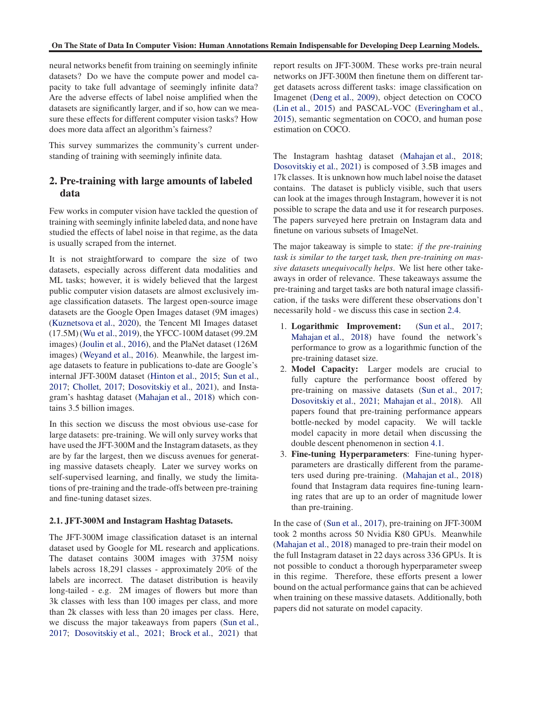<span id="page-1-0"></span>neural networks benefit from training on seemingly infinite datasets? Do we have the compute power and model capacity to take full advantage of seemingly infinite data? Are the adverse effects of label noise amplified when the datasets are significantly larger, and if so, how can we measure these effects for different computer vision tasks? How does more data affect an algorithm's fairness?

This survey summarizes the community's current understanding of training with seemingly infinite data.

# 2. Pre-training with large amounts of labeled data

Few works in computer vision have tackled the question of training with seemingly infinite labeled data, and none have studied the effects of label noise in that regime, as the data is usually scraped from the internet.

It is not straightforward to compare the size of two datasets, especially across different data modalities and ML tasks; however, it is widely believed that the largest public computer vision datasets are almost exclusively image classification datasets. The largest open-source image datasets are the Google Open Images dataset (9M images) [\(Kuznetsova et al.,](#page-10-0) [2020\)](#page-10-0), the Tencent Ml Images dataset (17.5M) [\(Wu et al.](#page-11-0), [2019\)](#page-11-0), the YFCC-100M dataset (99.2M images) [\(Joulin et al.,](#page-9-0) [2016\)](#page-9-0), and the PlaNet dataset (126M images) [\(Weyand et al.](#page-11-0), [2016\)](#page-11-0). Meanwhile, the largest image datasets to feature in publications to-date are Google's internal JFT-300M dataset [\(Hinton et al.,](#page-9-0) [2015;](#page-9-0) [Sun et al.](#page-11-0), [2017;](#page-11-0) [Chollet](#page-8-0), [2017;](#page-8-0) [Dosovitskiy et al.,](#page-8-0) [2021](#page-8-0)), and Instagram's hashtag dataset [\(Mahajan et al.](#page-10-0), [2018](#page-10-0)) which contains 3.5 billion images.

In this section we discuss the most obvious use-case for large datasets: pre-training. We will only survey works that have used the JFT-300M and the Instagram datasets, as they are by far the largest, then we discuss avenues for generating massive datasets cheaply. Later we survey works on self-supervised learning, and finally, we study the limitations of pre-training and the trade-offs between pre-training and fine-tuning dataset sizes.

#### 2.1. JFT-300M and Instagram Hashtag Datasets.

The JFT-300M image classification dataset is an internal dataset used by Google for ML research and applications. The dataset contains 300M images with 375M noisy labels across 18,291 classes - approximately 20% of the labels are incorrect. The dataset distribution is heavily long-tailed - e.g. 2M images of flowers but more than 3k classes with less than 100 images per class, and more than 2k classes with less than 20 images per class. Here, we discuss the major takeaways from papers [\(Sun et al.](#page-11-0), [2017;](#page-11-0) [Dosovitskiy et al.,](#page-8-0) [2021](#page-8-0); [Brock et al.](#page-7-0), [2021\)](#page-7-0) that report results on JFT-300M. These works pre-train neural networks on JFT-300M then finetune them on different target datasets across different tasks: image classification on Imagenet [\(Deng et al.](#page-8-0), [2009\)](#page-8-0), object detection on COCO [\(Lin et al.](#page-10-0), [2015\)](#page-10-0) and PASCAL-VOC [\(Everingham et al.](#page-8-0), [2015\)](#page-8-0), semantic segmentation on COCO, and human pose estimation on COCO.

The Instagram hashtag dataset [\(Mahajan et al.,](#page-10-0) [2018;](#page-10-0) [Dosovitskiy et al.](#page-8-0), [2021\)](#page-8-0) is composed of 3.5B images and 17k classes. It is unknown how much label noise the dataset contains. The dataset is publicly visible, such that users can look at the images through Instagram, however it is not possible to scrape the data and use it for research purposes. The papers surveyed here pretrain on Instagram data and finetune on various subsets of ImageNet.

The major takeaway is simple to state: *if the pre-training task is similar to the target task, then pre-training on massive datasets unequivocally helps*. We list here other takeaways in order of relevance. These takeaways assume the pre-training and target tasks are both natural image classification, if the tasks were different these observations don't necessarily hold - we discuss this case in section [2.4.](#page-3-0)

- 1. Logarithmic Improvement: [\(Sun et al.,](#page-11-0) [2017;](#page-11-0) [Mahajan et al.](#page-10-0), [2018](#page-10-0)) have found the network's performance to grow as a logarithmic function of the pre-training dataset size.
- 2. Model Capacity: Larger models are crucial to fully capture the performance boost offered by pre-training on massive datasets [\(Sun et al.](#page-11-0), [2017;](#page-11-0) [Dosovitskiy et al.](#page-8-0), [2021;](#page-8-0) [Mahajan et al.,](#page-10-0) [2018\)](#page-10-0). All papers found that pre-training performance appears bottle-necked by model capacity. We will tackle model capacity in more detail when discussing the double descent phenomenon in section [4.1.](#page-5-0)
- 3. Fine-tuning Hyperparameters: Fine-tuning hyperparameters are drastically different from the parameters used during pre-training. [\(Mahajan et al.,](#page-10-0) [2018\)](#page-10-0) found that Instagram data requires fine-tuning learning rates that are up to an order of magnitude lower than pre-training.

In the case of [\(Sun et al.](#page-11-0), [2017](#page-11-0)), pre-training on JFT-300M took 2 months across 50 Nvidia K80 GPUs. Meanwhile [\(Mahajan et al.](#page-10-0), [2018](#page-10-0)) managed to pre-train their model on the full Instagram dataset in 22 days across 336 GPUs. It is not possible to conduct a thorough hyperparameter sweep in this regime. Therefore, these efforts present a lower bound on the actual performance gains that can be achieved when training on these massive datasets. Additionally, both papers did not saturate on model capacity.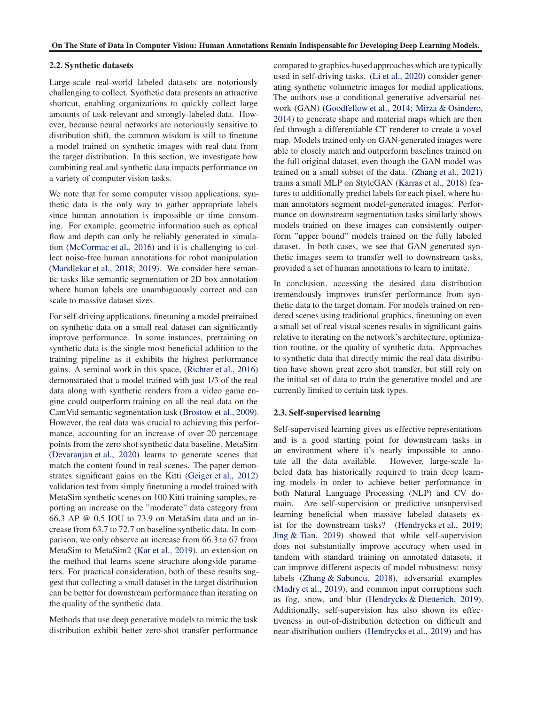#### 2.2. Synthetic datasets

Large-scale real-world labeled datasets are notoriously challenging to collect. Synthetic data presents an attractive shortcut, enabling organizations to quickly collect large amounts of task-relevant and strongly-labeled data. However, because neural networks are notoriously sensitive to distribution shift, the common wisdom is still to finetune a model trained on synthetic images with real data from the target distribution. In this section, we investigate how combining real and synthetic data impacts performance on a variety of computer vision tasks.

We note that for some computer vision applications, synthetic data is the only way to gather appropriate labels since human annotation is impossible or time consuming. For example, geometric information such as optical flow and depth can only be reliably generated in simulation (McCormac et al., 2016) and it is challenging to collect noise-free human annotations for robot manipulation (Mandlekar et al., 2018; 2019). We consider here semantic tasks like semantic segmentation or 2D box annotation where human labels are unambiguously correct and can scale to massive dataset sizes.

For self-driving applications, finetuning a model pretrained on synthetic data on a small real dataset can significantly improve performance. In some instances, pretraining on synthetic data is the single most beneficial addition to the training pipeline as it exhibits the highest performance gains. A seminal work in this space, (Richter et al., 2016) demonstrated that a model trained with just 1/3 of the real data along with synthetic renders from a video game engine could outperform training on all the real data on the CamVid semantic segmentation task (Brostow et al., 2009). However, the real data was crucial to achieving this performance, accounting for an increase of over 20 percentage points from the zero shot synthetic data baseline. MetaSim (Devaranjan et al., 2020) learns to generate scenes that match the content found in real scenes. The paper demonstrates significant gains on the Kitti [\(Geiger et al.](#page-8-0), [2012\)](#page-8-0) validation test from simply finetuning a model trained with MetaSim synthetic scenes on 100 Kitti training samples, reporting an increase on the "moderate" data category from 66.3 AP @ 0.5 IOU to 73.9 on MetaSim data and an increase from 63.7 to 72.7 on baseline synthetic data. In comparison, we only observe an increase from 66.3 to 67 from MetaSim to MetaSim2 (Kar et al., 2019), an extension on the method that learns scene structure alongside parameters. For practical consideration, both of these results suggest that collecting a small dataset in the target distribution can be better for downstream performance than iterating on the quality of the synthetic data.

Methods that use deep generative models to mimic the task distribution exhibit better zero-shot transfer performance compared to graphics-based approaches which are typically used in self-driving tasks. (Li et al., 2020) consider generating synthetic volumetric images for medial applications. The authors use a conditional generative adversarial network (GAN) [\(Goodfellow et al.](#page-8-0), [2014;](#page-8-0) Mirza & Osindero, 2014) to generate shape and material maps which are then fed through a differentiable CT renderer to create a voxel map. Models trained only on GAN-generated images were able to closely match and outperform baselines trained on the full original dataset, even though the GAN model was trained on a small subset of the data. (Zhang et al., 2021) trains a small MLP on StyleGAN (Karras et al., 2018) features to additionally predict labels for each pixel, where human annotators segment model-generated images. Performance on downstream segmentation tasks similarly shows models trained on these images can consistently outperform "upper bound" models trained on the fully labeled dataset. In both cases, we see that GAN generated synthetic images seem to transfer well to downstream tasks, provided a set of human annotations to learn to imitate.

In conclusion, accessing the desired data distribution tremendously improves transfer performance from synthetic data to the target domain. For models trained on rendered scenes using traditional graphics, finetuning on even a small set of real visual scenes results in significant gains relative to iterating on the network's architecture, optimization routine, or the quality of synthetic data. Approaches to synthetic data that directly mimic the real data distribution have shown great zero shot transfer, but still rely on the initial set of data to train the generative model and are currently limited to certain task types.

#### 2.3. Self-supervised learning

Self-supervised learning gives us effective representations and is a good starting point for downstream tasks in an environment where it's nearly impossible to annotate all the data available. However, large-scale labeled data has historically required to train deep learning models in order to achieve better performance in both Natural Language Processing (NLP) and CV domain. Are self-supervision or predictive unsupervised learning beneficial when massive labeled datasets exist for the downstream tasks? (Hendrycks et al., 2019; Jing & Tian, 2019) showed that while self-supervision does not substantially improve accuracy when used in tandem with standard training on annotated datasets, it can improve different aspects of model robustness: noisy labels (Zhang & Sabuncu, 2018), adversarial examples [\(Madry et al.,](#page-10-0) [2019\)](#page-10-0), and common input corruptions such as fog, snow, and blur (Hendrycks & Dietterich, 2019). Additionally, self-supervision has also shown its effectiveness in out-of-distribution detection on difficult and near-distribution outliers (Hendrycks et al., 2019) and has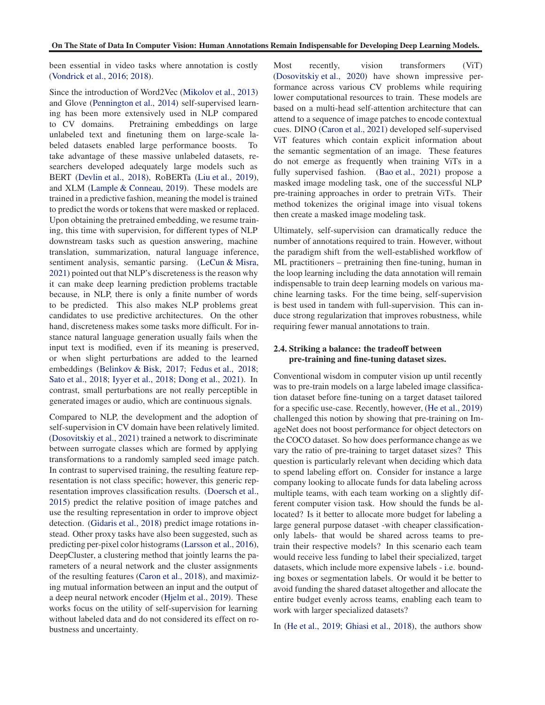<span id="page-3-0"></span>been essential in video tasks where annotation is costly (Vondrick et al., 2016; 2018).

Since the introduction of Word2Vec [\(Mikolov et al.,](#page-10-0) [2013\)](#page-10-0) and Glove [\(Pennington et al.](#page-10-0), [2014\)](#page-10-0) self-supervised learning has been more extensively used in NLP compared to CV domains. Pretraining embeddings on large unlabeled text and finetuning them on large-scale labeled datasets enabled large performance boosts. To take advantage of these massive unlabeled datasets, researchers developed adequately large models such as BERT (Devlin et al., 2018), RoBERTa [\(Liu et al.](#page-10-0), [2019\)](#page-10-0), and XLM (Lample & Conneau, 2019). These models are trained in a predictive fashion, meaning the model is trained to predict the words or tokens that were masked or replaced. Upon obtaining the pretrained embedding, we resume training, this time with supervision, for different types of NLP downstream tasks such as question answering, machine translation, summarization, natural language inference, sentiment analysis, semantic parsing. [\(LeCun & Misra](#page-10-0), [2021\)](#page-10-0) pointed out that NLP's discreteness is the reason why it can make deep learning prediction problems tractable because, in NLP, there is only a finite number of words to be predicted. This also makes NLP problems great candidates to use predictive architectures. On the other hand, discreteness makes some tasks more difficult. For instance natural language generation usually fails when the input text is modified, even if its meaning is preserved, or when slight perturbations are added to the learned embeddings (Belinkov & Bisk, 2017; [Fedus et al.](#page-8-0), [2018;](#page-8-0) Sato et al., 2018; [Iyyer et al.](#page-9-0), [2018;](#page-9-0) [Dong et al.,](#page-8-0) [2021\)](#page-8-0). In contrast, small perturbations are not really perceptible in generated images or audio, which are continuous signals.

Compared to NLP, the development and the adoption of self-supervision in CV domain have been relatively limited. [\(Dosovitskiy et al.](#page-8-0), [2021](#page-8-0)) trained a network to discriminate between surrogate classes which are formed by applying transformations to a randomly sampled seed image patch. In contrast to supervised training, the resulting feature representation is not class specific; however, this generic representation improves classification results. (Doersch et al., 2015) predict the relative position of image patches and use the resulting representation in order to improve object detection. (Gidaris et al., 2018) predict image rotations instead. Other proxy tasks have also been suggested, such as predicting per-pixel color histograms (Larsson et al., 2016), DeepCluster, a clustering method that jointly learns the parameters of a neural network and the cluster assignments of the resulting features (Caron et al., 2018), and maximizing mutual information between an input and the output of a deep neural network encoder [\(Hjelm et al.](#page-9-0), [2019](#page-9-0)). These works focus on the utility of self-supervision for learning without labeled data and do not considered its effect on robustness and uncertainty.

Most recently, vision transformers (ViT) (Dosovitskiy et al., 2020) have shown impressive performance across various CV problems while requiring lower computational resources to train. These models are based on a multi-head self-attention architecture that can attend to a sequence of image patches to encode contextual cues. DINO (Caron et al., 2021) developed self-supervised ViT features which contain explicit information about the semantic segmentation of an image. These features do not emerge as frequently when training ViTs in a fully supervised fashion. [\(Bao et al.,](#page-7-0) [2021\)](#page-7-0) propose a masked image modeling task, one of the successful NLP pre-training approaches in order to pretrain ViTs. Their method tokenizes the original image into visual tokens then create a masked image modeling task.

Ultimately, self-supervision can dramatically reduce the number of annotations required to train. However, without the paradigm shift from the well-established workflow of ML practitioners – pretraining then fine-tuning, human in the loop learning including the data annotation will remain indispensable to train deep learning models on various machine learning tasks. For the time being, self-supervision is best used in tandem with full-supervision. This can induce strong regularization that improves robustness, while requiring fewer manual annotations to train.

### 2.4. Striking a balance: the tradeoff between pre-training and fine-tuning dataset sizes.

Conventional wisdom in computer vision up until recently was to pre-train models on a large labeled image classification dataset before fine-tuning on a target dataset tailored for a specific use-case. Recently, however, [\(He et al.](#page-9-0), [2019\)](#page-9-0) challenged this notion by showing that pre-training on ImageNet does not boost performance for object detectors on the COCO dataset. So how does performance change as we vary the ratio of pre-training to target dataset sizes? This question is particularly relevant when deciding which data to spend labeling effort on. Consider for instance a large company looking to allocate funds for data labeling across multiple teams, with each team working on a slightly different computer vision task. How should the funds be allocated? Is it better to allocate more budget for labeling a large general purpose dataset -with cheaper classificationonly labels- that would be shared across teams to pretrain their respective models? In this scenario each team would receive less funding to label their specialized, target datasets, which include more expensive labels - i.e. bounding boxes or segmentation labels. Or would it be better to avoid funding the shared dataset altogether and allocate the entire budget evenly across teams, enabling each team to work with larger specialized datasets?

In [\(He et al.](#page-9-0), [2019](#page-9-0); [Ghiasi et al.,](#page-8-0) [2018\)](#page-8-0), the authors show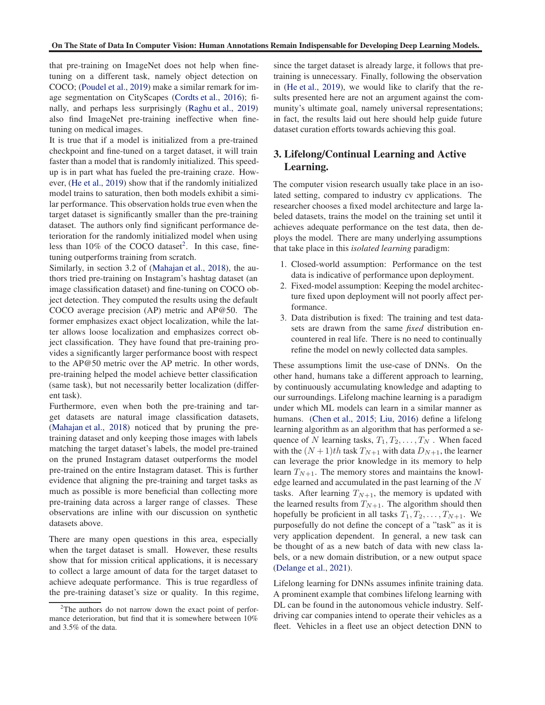that pre-training on ImageNet does not help when finetuning on a different task, namely object detection on COCO; [\(Poudel et al.](#page-10-0), [2019\)](#page-10-0) make a similar remark for image segmentation on CityScapes [\(Cordts et al.,](#page-8-0) [2016\)](#page-8-0); finally, and perhaps less surprisingly [\(Raghu et al.,](#page-10-0) [2019\)](#page-10-0) also find ImageNet pre-training ineffective when finetuning on medical images.

It is true that if a model is initialized from a pre-trained checkpoint and fine-tuned on a target dataset, it will train faster than a model that is randomly initialized. This speedup is in part what has fueled the pre-training craze. However, [\(He et al.,](#page-9-0) [2019\)](#page-9-0) show that if the randomly initialized model trains to saturation, then both models exhibit a similar performance. This observation holds true even when the target dataset is significantly smaller than the pre-training dataset. The authors only find significant performance deterioration for the randomly initialized model when using less than  $10\%$  of the COCO dataset<sup>2</sup>. In this case, finetuning outperforms training from scratch.

Similarly, in section 3.2 of [\(Mahajan et al.,](#page-10-0) [2018\)](#page-10-0), the authors tried pre-training on Instagram's hashtag dataset (an image classification dataset) and fine-tuning on COCO object detection. They computed the results using the default COCO average precision (AP) metric and AP@50. The former emphasizes exact object localization, while the latter allows loose localization and emphasizes correct object classification. They have found that pre-training provides a significantly larger performance boost with respect to the AP@50 metric over the AP metric. In other words, pre-training helped the model achieve better classification (same task), but not necessarily better localization (different task).

Furthermore, even when both the pre-training and target datasets are natural image classification datasets, [\(Mahajan et al.](#page-10-0), [2018\)](#page-10-0) noticed that by pruning the pretraining dataset and only keeping those images with labels matching the target dataset's labels, the model pre-trained on the pruned Instagram dataset outperforms the model pre-trained on the entire Instagram dataset. This is further evidence that aligning the pre-training and target tasks as much as possible is more beneficial than collecting more pre-training data across a larger range of classes. These observations are inline with our discussion on synthetic datasets above.

There are many open questions in this area, especially when the target dataset is small. However, these results show that for mission critical applications, it is necessary to collect a large amount of data for the target dataset to achieve adequate performance. This is true regardless of the pre-training dataset's size or quality. In this regime, since the target dataset is already large, it follows that pretraining is unnecessary. Finally, following the observation in [\(He et al.,](#page-9-0) [2019](#page-9-0)), we would like to clarify that the results presented here are not an argument against the community's ultimate goal, namely universal representations; in fact, the results laid out here should help guide future dataset curation efforts towards achieving this goal.

# 3. Lifelong/Continual Learning and Active Learning.

The computer vision research usually take place in an isolated setting, compared to industry cv applications. The researcher chooses a fixed model architecture and large labeled datasets, trains the model on the training set until it achieves adequate performance on the test data, then deploys the model. There are many underlying assumptions that take place in this *isolated learning* paradigm:

- 1. Closed-world assumption: Performance on the test data is indicative of performance upon deployment.
- 2. Fixed-model assumption: Keeping the model architecture fixed upon deployment will not poorly affect performance.
- 3. Data distribution is fixed: The training and test datasets are drawn from the same *fixed* distribution encountered in real life. There is no need to continually refine the model on newly collected data samples.

These assumptions limit the use-case of DNNs. On the other hand, humans take a different approach to learning, by continuously accumulating knowledge and adapting to our surroundings. Lifelong machine learning is a paradigm under which ML models can learn in a similar manner as humans. [\(Chen et al.](#page-8-0), [2015;](#page-8-0) [Liu,](#page-10-0) [2016\)](#page-10-0) define a lifelong learning algorithm as an algorithm that has performed a sequence of N learning tasks,  $T_1, T_2, \ldots, T_N$ . When faced with the  $(N + 1)$ th task  $T_{N+1}$  with data  $D_{N+1}$ , the learner can leverage the prior knowledge in its memory to help learn  $T_{N+1}$ . The memory stores and maintains the knowledge learned and accumulated in the past learning of the N tasks. After learning  $T_{N+1}$ , the memory is updated with the learned results from  $T_{N+1}$ . The algorithm should then hopefully be proficient in all tasks  $T_1, T_2, \ldots, T_{N+1}$ . We purposefully do not define the concept of a "task" as it is very application dependent. In general, a new task can be thought of as a new batch of data with new class labels, or a new domain distribution, or a new output space [\(Delange et al.,](#page-8-0) [2021\)](#page-8-0).

Lifelong learning for DNNs assumes infinite training data. A prominent example that combines lifelong learning with DL can be found in the autonomous vehicle industry. Selfdriving car companies intend to operate their vehicles as a fleet. Vehicles in a fleet use an object detection DNN to

 $2$ The authors do not narrow down the exact point of performance deterioration, but find that it is somewhere between 10% and 3.5% of the data.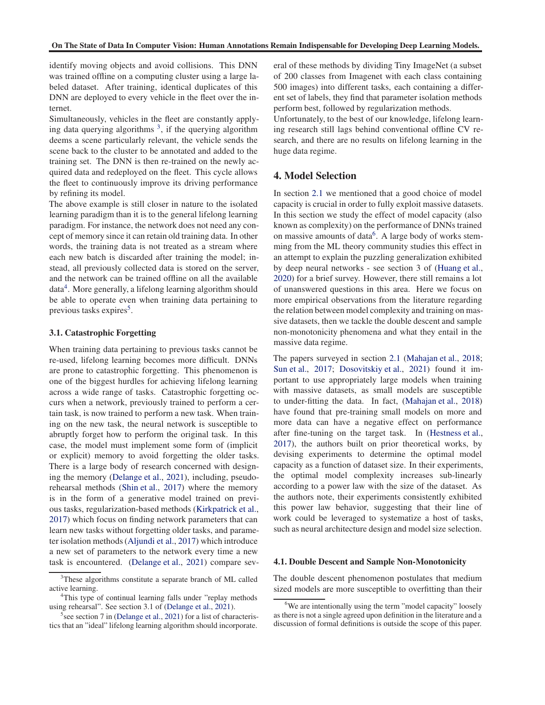<span id="page-5-0"></span>identify moving objects and avoid collisions. This DNN was trained offline on a computing cluster using a large labeled dataset. After training, identical duplicates of this DNN are deployed to every vehicle in the fleet over the internet.

Simultaneously, vehicles in the fleet are constantly applying data querying algorithms  $3$ , if the querying algorithm deems a scene particularly relevant, the vehicle sends the scene back to the cluster to be annotated and added to the training set. The DNN is then re-trained on the newly acquired data and redeployed on the fleet. This cycle allows the fleet to continuously improve its driving performance by refining its model.

The above example is still closer in nature to the isolated learning paradigm than it is to the general lifelong learning paradigm. For instance, the network does not need any concept of memory since it can retain old training data. In other words, the training data is not treated as a stream where each new batch is discarded after training the model; instead, all previously collected data is stored on the server, and the network can be trained offline on all the available data<sup>4</sup>. More generally, a lifelong learning algorithm should be able to operate even when training data pertaining to previous tasks expires<sup>5</sup>.

### 3.1. Catastrophic Forgetting

When training data pertaining to previous tasks cannot be re-used, lifelong learning becomes more difficult. DNNs are prone to catastrophic forgetting. This phenomenon is one of the biggest hurdles for achieving lifelong learning across a wide range of tasks. Catastrophic forgetting occurs when a network, previously trained to perform a certain task, is now trained to perform a new task. When training on the new task, the neural network is susceptible to abruptly forget how to perform the original task. In this case, the model must implement some form of (implicit or explicit) memory to avoid forgetting the older tasks. There is a large body of research concerned with designing the memory [\(Delange et al.](#page-8-0), [2021](#page-8-0)), including, pseudorehearsal methods [\(Shin et al.](#page-11-0), [2017\)](#page-11-0) where the memory is in the form of a generative model trained on previous tasks, regularization-based methods [\(Kirkpatrick et al.](#page-9-0), [2017\)](#page-9-0) which focus on finding network parameters that can learn new tasks without forgetting older tasks, and parameter isolation methods [\(Aljundi et al.,](#page-7-0) [2017](#page-7-0)) which introduce a new set of parameters to the network every time a new task is encountered. [\(Delange et al.,](#page-8-0) [2021\)](#page-8-0) compare several of these methods by dividing Tiny ImageNet (a subset of 200 classes from Imagenet with each class containing 500 images) into different tasks, each containing a different set of labels, they find that parameter isolation methods perform best, followed by regularization methods.

Unfortunately, to the best of our knowledge, lifelong learning research still lags behind conventional offline CV research, and there are no results on lifelong learning in the huge data regime.

# 4. Model Selection

In section [2.1](#page-1-0) we mentioned that a good choice of model capacity is crucial in order to fully exploit massive datasets. In this section we study the effect of model capacity (also known as complexity) on the performance of DNNs trained on massive amounts of data<sup>6</sup>. A large body of works stemming from the ML theory community studies this effect in an attempt to explain the puzzling generalization exhibited by deep neural networks - see section 3 of [\(Huang et al.](#page-9-0), [2020\)](#page-9-0) for a brief survey. However, there still remains a lot of unanswered questions in this area. Here we focus on more empirical observations from the literature regarding the relation between model complexity and training on massive datasets, then we tackle the double descent and sample non-monotonicity phenomena and what they entail in the massive data regime.

The papers surveyed in section [2.1](#page-1-0) [\(Mahajan et al.,](#page-10-0) [2018;](#page-10-0) [Sun et al.,](#page-11-0) [2017](#page-11-0); [Dosovitskiy et al.,](#page-8-0) [2021\)](#page-8-0) found it important to use appropriately large models when training with massive datasets, as small models are susceptible to under-fitting the data. In fact, [\(Mahajan et al.](#page-10-0), [2018\)](#page-10-0) have found that pre-training small models on more and more data can have a negative effect on performance after fine-tuning on the target task. In [\(Hestness et al.](#page-9-0), [2017\)](#page-9-0), the authors built on prior theoretical works, by devising experiments to determine the optimal model capacity as a function of dataset size. In their experiments, the optimal model complexity increases sub-linearly according to a power law with the size of the dataset. As the authors note, their experiments consistently exhibited this power law behavior, suggesting that their line of work could be leveraged to systematize a host of tasks, such as neural architecture design and model size selection.

### 4.1. Double Descent and Sample Non-Monotonicity

The double descent phenomenon postulates that medium sized models are more susceptible to overfitting than their

<sup>&</sup>lt;sup>3</sup>These algorithms constitute a separate branch of ML called active learning.

<sup>&</sup>lt;sup>4</sup>This type of continual learning falls under "replay methods using rehearsal". See section 3.1 of [\(Delange et al.](#page-8-0), [2021](#page-8-0)).

<sup>&</sup>lt;sup>5</sup> see section 7 in [\(Delange et al.,](#page-8-0) [2021\)](#page-8-0) for a list of characteristics that an "ideal" lifelong learning algorithm should incorporate.

 $6$ We are intentionally using the term "model capacity" loosely as there is not a single agreed upon definition in the literature and a discussion of formal definitions is outside the scope of this paper.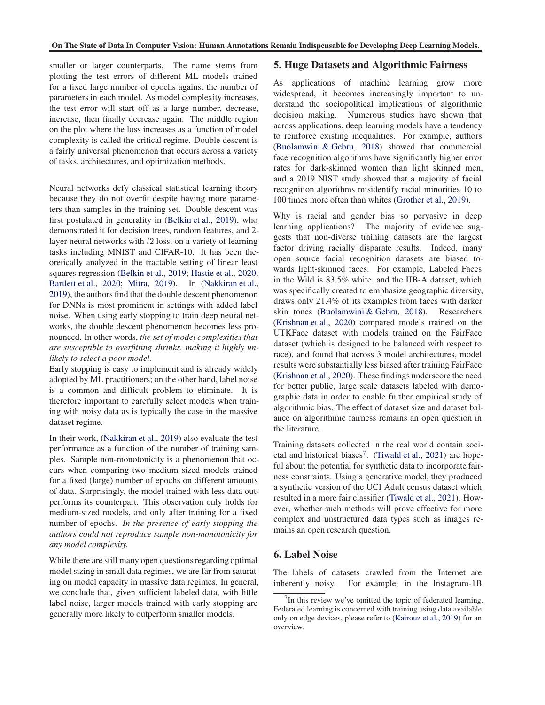smaller or larger counterparts. The name stems from plotting the test errors of different ML models trained for a fixed large number of epochs against the number of parameters in each model. As model complexity increases, the test error will start off as a large number, decrease, increase, then finally decrease again. The middle region on the plot where the loss increases as a function of model complexity is called the critical regime. Double descent is a fairly universal phenomenon that occurs across a variety of tasks, architectures, and optimization methods.

Neural networks defy classical statistical learning theory because they do not overfit despite having more parameters than samples in the training set. Double descent was first postulated in generality in [\(Belkin et al.,](#page-7-0) [2019\)](#page-7-0), who demonstrated it for decision trees, random features, and 2 layer neural networks with l2 loss, on a variety of learning tasks including MNIST and CIFAR-10. It has been theoretically analyzed in the tractable setting of linear least squares regression [\(Belkin et al.,](#page-7-0) [2019](#page-7-0); [Hastie et al.](#page-9-0), [2020;](#page-9-0) [Bartlett et al.](#page-7-0), [2020](#page-7-0); [Mitra,](#page-10-0) [2019\)](#page-10-0). In [\(Nakkiran et al.](#page-10-0), [2019\)](#page-10-0), the authors find that the double descent phenomenon for DNNs is most prominent in settings with added label noise. When using early stopping to train deep neural networks, the double descent phenomenon becomes less pronounced. In other words, *the set of model complexities that are susceptible to overfitting shrinks, making it highly unlikely to select a poor model.*

Early stopping is easy to implement and is already widely adopted by ML practitioners; on the other hand, label noise is a common and difficult problem to eliminate. It is therefore important to carefully select models when training with noisy data as is typically the case in the massive dataset regime.

In their work, [\(Nakkiran et al.](#page-10-0), [2019\)](#page-10-0) also evaluate the test performance as a function of the number of training samples. Sample non-monotonicity is a phenomenon that occurs when comparing two medium sized models trained for a fixed (large) number of epochs on different amounts of data. Surprisingly, the model trained with less data outperforms its counterpart. This observation only holds for medium-sized models, and only after training for a fixed number of epochs. *In the presence of early stopping the authors could not reproduce sample non-monotonicity for any model complexity.*

While there are still many open questions regarding optimal model sizing in small data regimes, we are far from saturating on model capacity in massive data regimes. In general, we conclude that, given sufficient labeled data, with little label noise, larger models trained with early stopping are generally more likely to outperform smaller models.

### 5. Huge Datasets and Algorithmic Fairness

As applications of machine learning grow more widespread, it becomes increasingly important to understand the sociopolitical implications of algorithmic decision making. Numerous studies have shown that across applications, deep learning models have a tendency to reinforce existing inequalities. For example, authors [\(Buolamwini & Gebru,](#page-7-0) [2018](#page-7-0)) showed that commercial face recognition algorithms have significantly higher error rates for dark-skinned women than light skinned men, and a 2019 NIST study showed that a majority of facial recognition algorithms misidentify racial minorities 10 to 100 times more often than whites [\(Grother et al.](#page-9-0), [2019\)](#page-9-0).

Why is racial and gender bias so pervasive in deep learning applications? The majority of evidence suggests that non-diverse training datasets are the largest factor driving racially disparate results. Indeed, many open source facial recognition datasets are biased towards light-skinned faces. For example, Labeled Faces in the Wild is 83.5% white, and the IJB-A dataset, which was specifically created to emphasize geographic diversity, draws only 21.4% of its examples from faces with darker skin tones [\(Buolamwini & Gebru,](#page-7-0) [2018\)](#page-7-0). Researchers [\(Krishnan et al.,](#page-9-0) [2020](#page-9-0)) compared models trained on the UTKFace dataset with models trained on the FairFace dataset (which is designed to be balanced with respect to race), and found that across 3 model architectures, model results were substantially less biased after training FairFace [\(Krishnan et al.,](#page-9-0) [2020\)](#page-9-0). These findings underscore the need for better public, large scale datasets labeled with demographic data in order to enable further empirical study of algorithmic bias. The effect of dataset size and dataset balance on algorithmic fairness remains an open question in the literature.

Training datasets collected in the real world contain soci-etal and historical biases<sup>7</sup>. [\(Tiwald et al.,](#page-11-0) [2021](#page-11-0)) are hopeful about the potential for synthetic data to incorporate fairness constraints. Using a generative model, they produced a synthetic version of the UCI Adult census dataset which resulted in a more fair classifier [\(Tiwald et al.](#page-11-0), [2021\)](#page-11-0). However, whether such methods will prove effective for more complex and unstructured data types such as images remains an open research question.

## 6. Label Noise

The labels of datasets crawled from the Internet are inherently noisy. For example, in the Instagram-1B

 $7$ In this review we've omitted the topic of federated learning. Federated learning is concerned with training using data available only on edge devices, please refer to [\(Kairouz et al.](#page-9-0), [2019\)](#page-9-0) for an overview.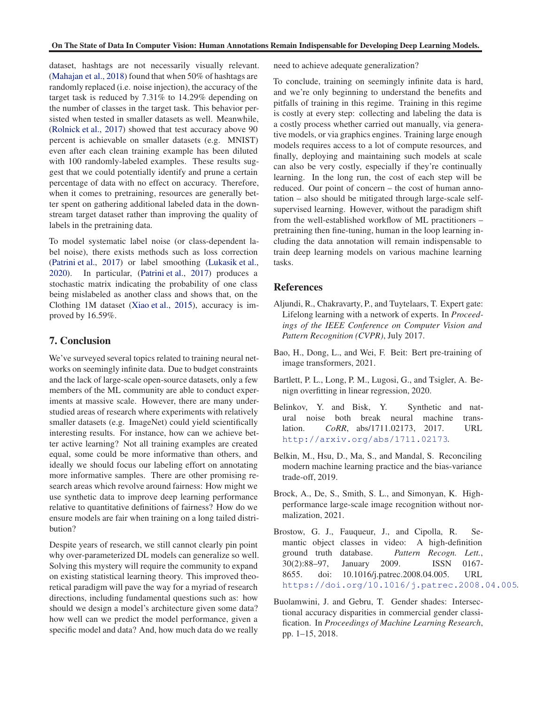<span id="page-7-0"></span>dataset, hashtags are not necessarily visually relevant. [\(Mahajan et al.](#page-10-0), [2018\)](#page-10-0) found that when 50% of hashtags are randomly replaced (i.e. noise injection), the accuracy of the target task is reduced by 7.31% to 14.29% depending on the number of classes in the target task. This behavior persisted when tested in smaller datasets as well. Meanwhile, [\(Rolnick et al.,](#page-11-0) [2017\)](#page-11-0) showed that test accuracy above 90 percent is achievable on smaller datasets (e.g. MNIST) even after each clean training example has been diluted with 100 randomly-labeled examples. These results suggest that we could potentially identify and prune a certain percentage of data with no effect on accuracy. Therefore, when it comes to pretraining, resources are generally better spent on gathering additional labeled data in the downstream target dataset rather than improving the quality of labels in the pretraining data.

To model systematic label noise (or class-dependent label noise), there exists methods such as loss correction [\(Patrini et al.,](#page-10-0) [2017\)](#page-10-0) or label smoothing [\(Lukasik et al.](#page-10-0), [2020\)](#page-10-0). In particular, [\(Patrini et al.](#page-10-0), [2017\)](#page-10-0) produces a stochastic matrix indicating the probability of one class being mislabeled as another class and shows that, on the Clothing 1M dataset [\(Xiao et al.](#page-11-0), [2015](#page-11-0)), accuracy is improved by 16.59%.

### 7. Conclusion

We've surveyed several topics related to training neural networks on seemingly infinite data. Due to budget constraints and the lack of large-scale open-source datasets, only a few members of the ML community are able to conduct experiments at massive scale. However, there are many understudied areas of research where experiments with relatively smaller datasets (e.g. ImageNet) could yield scientifically interesting results. For instance, how can we achieve better active learning? Not all training examples are created equal, some could be more informative than others, and ideally we should focus our labeling effort on annotating more informative samples. There are other promising research areas which revolve around fairness: How might we use synthetic data to improve deep learning performance relative to quantitative definitions of fairness? How do we ensure models are fair when training on a long tailed distribution?

Despite years of research, we still cannot clearly pin point why over-parameterized DL models can generalize so well. Solving this mystery will require the community to expand on existing statistical learning theory. This improved theoretical paradigm will pave the way for a myriad of research directions, including fundamental questions such as: how should we design a model's architecture given some data? how well can we predict the model performance, given a specific model and data? And, how much data do we really

need to achieve adequate generalization?

To conclude, training on seemingly infinite data is hard, and we're only beginning to understand the benefits and pitfalls of training in this regime. Training in this regime is costly at every step: collecting and labeling the data is a costly process whether carried out manually, via generative models, or via graphics engines. Training large enough models requires access to a lot of compute resources, and finally, deploying and maintaining such models at scale can also be very costly, especially if they're continually learning. In the long run, the cost of each step will be reduced. Our point of concern – the cost of human annotation – also should be mitigated through large-scale selfsupervised learning. However, without the paradigm shift from the well-established workflow of ML practitioners – pretraining then fine-tuning, human in the loop learning including the data annotation will remain indispensable to train deep learning models on various machine learning tasks.

### References

- Aljundi, R., Chakravarty, P., and Tuytelaars, T. Expert gate: Lifelong learning with a network of experts. In *Proceedings of the IEEE Conference on Computer Vision and Pattern Recognition (CVPR)*, July 2017.
- Bao, H., Dong, L., and Wei, F. Beit: Bert pre-training of image transformers, 2021.
- Bartlett, P. L., Long, P. M., Lugosi, G., and Tsigler, A. Benign overfitting in linear regression, 2020.
- Belinkov, Y. and Bisk, Y. Synthetic and natural noise both break neural machine translation. *CoRR*, abs/1711.02173, 2017. URL <http://arxiv.org/abs/1711.02173>.
- Belkin, M., Hsu, D., Ma, S., and Mandal, S. Reconciling modern machine learning practice and the bias-variance trade-off, 2019.
- Brock, A., De, S., Smith, S. L., and Simonyan, K. Highperformance large-scale image recognition without normalization, 2021.
- Brostow, G. J., Fauqueur, J., and Cipolla, R. Semantic object classes in video: A high-definition ground truth database. *Pattern Recogn. Lett.*, 30(2):88–97, January 2009. ISSN 0167- 8655. doi: 10.1016/j.patrec.2008.04.005. URL <https://doi.org/10.1016/j.patrec.2008.04.005>.
- Buolamwini, J. and Gebru, T. Gender shades: Intersectional accuracy disparities in commercial gender classification. In *Proceedings of Machine Learning Research*, pp. 1–15, 2018.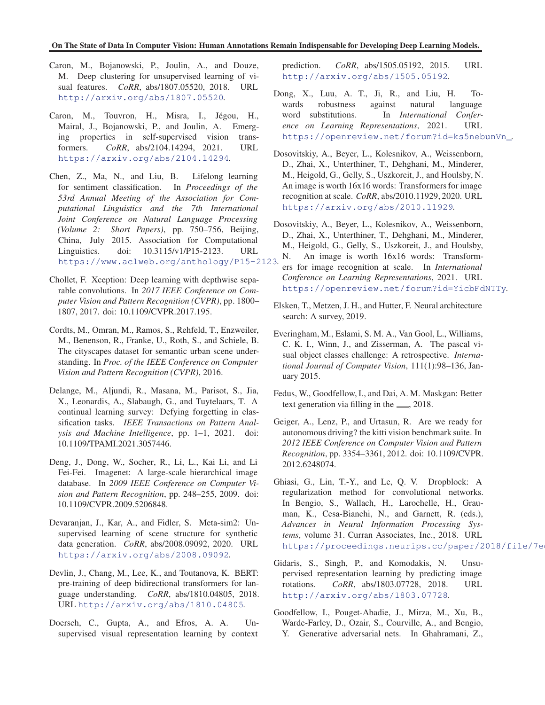#### <span id="page-8-0"></span>On The State of Data In Computer Vision: Human Annotations Remain Indispensable for Developing Deep Learning Models.

- Caron, M., Bojanowski, P., Joulin, A., and Douze, M. Deep clustering for unsupervised learning of visual features. *CoRR*, abs/1807.05520, 2018. URL <http://arxiv.org/abs/1807.05520>.
- Caron, M., Touvron, H., Misra, I., Jégou, H., Mairal, J., Bojanowski, P., and Joulin, A. Emerging properties in self-supervised vision transformers. *CoRR*, abs/2104.14294, 2021. URL <https://arxiv.org/abs/2104.14294>.
- Chen, Z., Ma, N., and Liu, B. Lifelong learning for sentiment classification. In *Proceedings of the 53rd Annual Meeting of the Association for Computational Linguistics and the 7th International Joint Conference on Natural Language Processing (Volume 2: Short Papers)*, pp. 750–756, Beijing, China, July 2015. Association for Computational Linguistics. doi: 10.3115/v1/P15-2123. URL <https://www.aclweb.org/anthology/P15-2123>.
- Chollet, F. Xception: Deep learning with depthwise separable convolutions. In *2017 IEEE Conference on Computer Vision and Pattern Recognition (CVPR)*, pp. 1800– 1807, 2017. doi: 10.1109/CVPR.2017.195.
- Cordts, M., Omran, M., Ramos, S., Rehfeld, T., Enzweiler, M., Benenson, R., Franke, U., Roth, S., and Schiele, B. The cityscapes dataset for semantic urban scene understanding. In *Proc. of the IEEE Conference on Computer Vision and Pattern Recognition (CVPR)*, 2016.
- Delange, M., Aljundi, R., Masana, M., Parisot, S., Jia, X., Leonardis, A., Slabaugh, G., and Tuytelaars, T. A continual learning survey: Defying forgetting in classification tasks. *IEEE Transactions on Pattern Analysis and Machine Intelligence*, pp. 1–1, 2021. doi: 10.1109/TPAMI.2021.3057446.
- Deng, J., Dong, W., Socher, R., Li, L., Kai Li, and Li Fei-Fei. Imagenet: A large-scale hierarchical image database. In *2009 IEEE Conference on Computer Vision and Pattern Recognition*, pp. 248–255, 2009. doi: 10.1109/CVPR.2009.5206848.
- Devaranjan, J., Kar, A., and Fidler, S. Meta-sim2: Unsupervised learning of scene structure for synthetic data generation. *CoRR*, abs/2008.09092, 2020. URL <https://arxiv.org/abs/2008.09092>.
- Devlin, J., Chang, M., Lee, K., and Toutanova, K. BERT: pre-training of deep bidirectional transformers for language understanding. *CoRR*, abs/1810.04805, 2018. URL <http://arxiv.org/abs/1810.04805>.
- Doersch, C., Gupta, A., and Efros, A. A. Unsupervised visual representation learning by context

prediction. *CoRR*, abs/1505.05192, 2015. URL <http://arxiv.org/abs/1505.05192>.

Dong, X., Luu, A. T., Ji, R., and Liu, H. Towards robustness against natural language word substitutions. In *International Conference on Learning Representations*, 2021. URL [https://openreview.net/forum?id=ks5nebunVn\\_](https://openreview.net/forum?id=ks5nebunVn_).

- Dosovitskiy, A., Beyer, L., Kolesnikov, A., Weissenborn, D., Zhai, X., Unterthiner, T., Dehghani, M., Minderer, M., Heigold, G., Gelly, S., Uszkoreit, J., and Houlsby, N. An image is worth 16x16 words: Transformers for image recognition at scale. *CoRR*, abs/2010.11929, 2020. URL <https://arxiv.org/abs/2010.11929>.
- Dosovitskiy, A., Beyer, L., Kolesnikov, A., Weissenborn, D., Zhai, X., Unterthiner, T., Dehghani, M., Minderer, M., Heigold, G., Gelly, S., Uszkoreit, J., and Houlsby, N. An image is worth 16x16 words: Transformers for image recognition at scale. In *International Conference on Learning Representations*, 2021. URL <https://openreview.net/forum?id=YicbFdNTTy>.
- Elsken, T., Metzen, J. H., and Hutter, F. Neural architecture search: A survey, 2019.
- Everingham, M., Eslami, S. M. A., Van Gool, L., Williams, C. K. I., Winn, J., and Zisserman, A. The pascal visual object classes challenge: A retrospective. *International Journal of Computer Vision*, 111(1):98–136, January 2015.
- Fedus, W., Goodfellow, I., and Dai, A. M. Maskgan: Better text generation via filling in the  $\frac{1}{2}$ , 2018.
- Geiger, A., Lenz, P., and Urtasun, R. Are we ready for autonomous driving? the kitti vision benchmark suite. In *2012 IEEE Conference on Computer Vision and Pattern Recognition*, pp. 3354–3361, 2012. doi: 10.1109/CVPR. 2012.6248074.
- Ghiasi, G., Lin, T.-Y., and Le, Q. V. Dropblock: A regularization method for convolutional networks. In Bengio, S., Wallach, H., Larochelle, H., Grauman, K., Cesa-Bianchi, N., and Garnett, R. (eds.), *Advances in Neural Information Processing Systems*, volume 31. Curran Associates, Inc., 2018. URL https://proceedings.neurips.cc/paper/2018/file/7e
- Gidaris, S., Singh, P., and Komodakis, N. Unsupervised representation learning by predicting image rotations. *CoRR*, abs/1803.07728, 2018. URL <http://arxiv.org/abs/1803.07728>.
- Goodfellow, I., Pouget-Abadie, J., Mirza, M., Xu, B., Warde-Farley, D., Ozair, S., Courville, A., and Bengio, Y. Generative adversarial nets. In Ghahramani, Z.,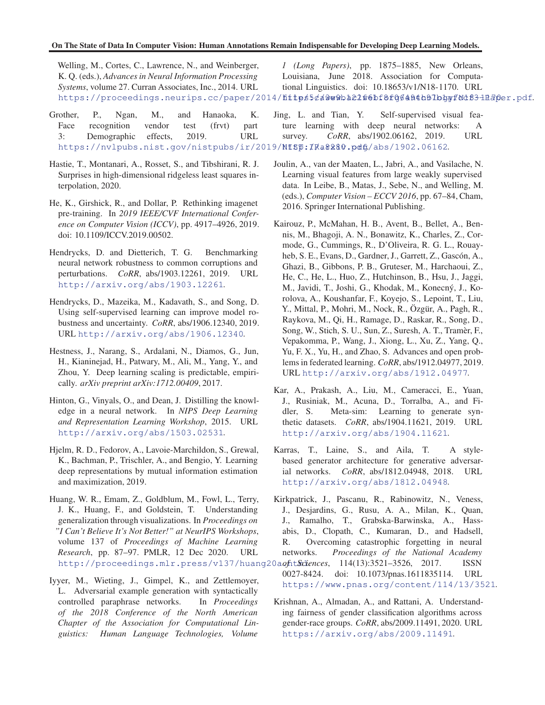<span id="page-9-0"></span>Welling, M., Cortes, C., Lawrence, N., and Weinberger, K. Q. (eds.), *Advances in Neural Information Processing Systems*, volume 27. Curran Associates, Inc., 2014. URL https://proceedings.neurips.cc/paper/2014/fittps5¢a0w0ba22f6bf8f064A4b0lbhyfNdf3-1H3per.pdf. *1 (Long Papers)*, pp. 1875–1885, New Orleans, Louisiana, June 2018. Association for Computational Linguistics. doi: 10.18653/v1/N18-1170. URL

Grother, P., Ngan, M., and Hanaoka, K. Face recognition vendor test (frvt) part 3: Demographic effects, 2019. URL https://nvlpubs.nist.gov/nistpubs/ir/2019/NISP:IRa8280.pdf./abs/1902.06162. Jing, L. and Tian, Y. Self-supervised visual feature learning with deep neural networks: A survey. *CoRR*, abs/1902.06162, 2019. URL

- Hastie, T., Montanari, A., Rosset, S., and Tibshirani, R. J. Surprises in high-dimensional ridgeless least squares interpolation, 2020.
- He, K., Girshick, R., and Dollar, P. Rethinking imagenet pre-training. In *2019 IEEE/CVF International Conference on Computer Vision (ICCV)*, pp. 4917–4926, 2019. doi: 10.1109/ICCV.2019.00502.
- Hendrycks, D. and Dietterich, T. G. Benchmarking neural network robustness to common corruptions and perturbations. *CoRR*, abs/1903.12261, 2019. URL <http://arxiv.org/abs/1903.12261>.
- Hendrycks, D., Mazeika, M., Kadavath, S., and Song, D. Using self-supervised learning can improve model robustness and uncertainty. *CoRR*, abs/1906.12340, 2019. URL <http://arxiv.org/abs/1906.12340>.
- Hestness, J., Narang, S., Ardalani, N., Diamos, G., Jun, H., Kianinejad, H., Patwary, M., Ali, M., Yang, Y., and Zhou, Y. Deep learning scaling is predictable, empirically. *arXiv preprint arXiv:1712.00409*, 2017.
- Hinton, G., Vinyals, O., and Dean, J. Distilling the knowledge in a neural network. In *NIPS Deep Learning and Representation Learning Workshop*, 2015. URL <http://arxiv.org/abs/1503.02531>.
- Hjelm, R. D., Fedorov, A., Lavoie-Marchildon, S., Grewal, K., Bachman, P., Trischler, A., and Bengio, Y. Learning deep representations by mutual information estimation and maximization, 2019.
- Huang, W. R., Emam, Z., Goldblum, M., Fowl, L., Terry, J. K., Huang, F., and Goldstein, T. Understanding generalization through visualizations. In *Proceedings on "I Can't Believe It's Not Better!" at NeurIPS Workshops*, volume 137 of *Proceedings of Machine Learning Research*, pp. 87–97. PMLR, 12 Dec 2020. URL http://proceedings.mlr.press/v137/huang20aofit*Sciences*, 114(13):3521-3526, 2017. ISSN
- Iyyer, M., Wieting, J., Gimpel, K., and Zettlemoyer, L. Adversarial example generation with syntactically controlled paraphrase networks. In *Proceedings of the 2018 Conference of the North American Chapter of the Association for Computational Linguistics: Human Language Technologies, Volume*
- Joulin, A., van der Maaten, L., Jabri, A., and Vasilache, N. Learning visual features from large weakly supervised data. In Leibe, B., Matas, J., Sebe, N., and Welling, M. (eds.), *Computer Vision – ECCV 2016*, pp. 67–84, Cham, 2016. Springer International Publishing.
- Kairouz, P., McMahan, H. B., Avent, B., Bellet, A., Bennis, M., Bhagoji, A. N., Bonawitz, K., Charles, Z., Cormode, G., Cummings, R., D'Oliveira, R. G. L., Rouayheb, S. E., Evans, D., Gardner, J., Garrett, Z., Gascón, A., Ghazi, B., Gibbons, P. B., Gruteser, M., Harchaoui, Z., He, C., He, L., Huo, Z., Hutchinson, B., Hsu, J., Jaggi, M., Javidi, T., Joshi, G., Khodak, M., Konecný, J., Korolova, A., Koushanfar, F., Koyejo, S., Lepoint, T., Liu, Y., Mittal, P., Mohri, M., Nock, R., Ozgür, A., Pagh, R., Raykova, M., Qi, H., Ramage, D., Raskar, R., Song, D., Song, W., Stich, S. U., Sun, Z., Suresh, A. T., Tramèr, F., Vepakomma, P., Wang, J., Xiong, L., Xu, Z., Yang, Q., Yu, F. X., Yu, H., and Zhao, S. Advances and open problems in federated learning. *CoRR*, abs/1912.04977, 2019. URL <http://arxiv.org/abs/1912.04977>.
- Kar, A., Prakash, A., Liu, M., Cameracci, E., Yuan, J., Rusiniak, M., Acuna, D., Torralba, A., and Fidler, S. Meta-sim: Learning to generate synthetic datasets. *CoRR*, abs/1904.11621, 2019. URL <http://arxiv.org/abs/1904.11621>.
- Karras, T., Laine, S., and Aila, T. A stylebased generator architecture for generative adversarial networks. *CoRR*, abs/1812.04948, 2018. URL <http://arxiv.org/abs/1812.04948>.
- Kirkpatrick, J., Pascanu, R., Rabinowitz, N., Veness, J., Desjardins, G., Rusu, A. A., Milan, K., Quan, J., Ramalho, T., Grabska-Barwinska, A., Hassabis, D., Clopath, C., Kumaran, D., and Hadsell, R. Overcoming catastrophic forgetting in neural networks. *Proceedings of the National Academy*
- 0027-8424. doi: 10.1073/pnas.1611835114. URL <https://www.pnas.org/content/114/13/3521>.
	- Krishnan, A., Almadan, A., and Rattani, A. Understanding fairness of gender classification algorithms across gender-race groups. *CoRR*, abs/2009.11491, 2020. URL <https://arxiv.org/abs/2009.11491>.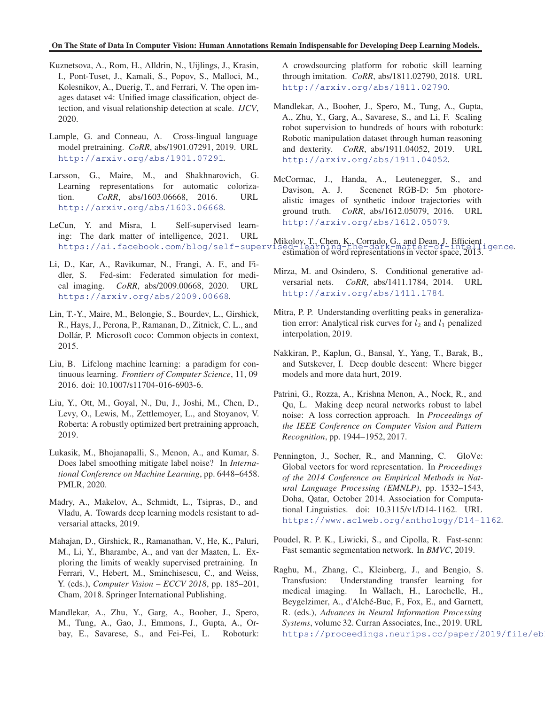### <span id="page-10-0"></span>On The State of Data In Computer Vision: Human Annotations Remain Indispensable for Developing Deep Learning Models.

- Kuznetsova, A., Rom, H., Alldrin, N., Uijlings, J., Krasin, I., Pont-Tuset, J., Kamali, S., Popov, S., Malloci, M., Kolesnikov, A., Duerig, T., and Ferrari, V. The open images dataset v4: Unified image classification, object detection, and visual relationship detection at scale. *IJCV*, 2020.
- Lample, G. and Conneau, A. Cross-lingual language model pretraining. *CoRR*, abs/1901.07291, 2019. URL <http://arxiv.org/abs/1901.07291>.
- Larsson, G., Maire, M., and Shakhnarovich, G. Learning representations for automatic colorization. *CoRR*, abs/1603.06668, 2016. URL <http://arxiv.org/abs/1603.06668>.
- LeCun, Y. and Misra, I. Self-supervised learning: The dark matter of intelligence, 2021. URL
- Li, D., Kar, A., Ravikumar, N., Frangi, A. F., and Fidler, S. Fed-sim: Federated simulation for medical imaging. *CoRR*, abs/2009.00668, 2020. URL <https://arxiv.org/abs/2009.00668>.
- Lin, T.-Y., Maire, M., Belongie, S., Bourdev, L., Girshick, R., Hays, J., Perona, P., Ramanan, D., Zitnick, C. L., and Dollár, P. Microsoft coco: Common objects in context, 2015.
- Liu, B. Lifelong machine learning: a paradigm for continuous learning. *Frontiers of Computer Science*, 11, 09 2016. doi: 10.1007/s11704-016-6903-6.
- Liu, Y., Ott, M., Goyal, N., Du, J., Joshi, M., Chen, D., Levy, O., Lewis, M., Zettlemoyer, L., and Stoyanov, V. Roberta: A robustly optimized bert pretraining approach, 2019.
- Lukasik, M., Bhojanapalli, S., Menon, A., and Kumar, S. Does label smoothing mitigate label noise? In *International Conference on Machine Learning*, pp. 6448–6458. PMLR, 2020.
- Madry, A., Makelov, A., Schmidt, L., Tsipras, D., and Vladu, A. Towards deep learning models resistant to adversarial attacks, 2019.
- Mahajan, D., Girshick, R., Ramanathan, V., He, K., Paluri, M., Li, Y., Bharambe, A., and van der Maaten, L. Exploring the limits of weakly supervised pretraining. In Ferrari, V., Hebert, M., Sminchisescu, C., and Weiss, Y. (eds.), *Computer Vision – ECCV 2018*, pp. 185–201, Cham, 2018. Springer International Publishing.
- Mandlekar, A., Zhu, Y., Garg, A., Booher, J., Spero, M., Tung, A., Gao, J., Emmons, J., Gupta, A., Orbay, E., Savarese, S., and Fei-Fei, L. Roboturk:

A crowdsourcing platform for robotic skill learning through imitation. *CoRR*, abs/1811.02790, 2018. URL <http://arxiv.org/abs/1811.02790>.

- Mandlekar, A., Booher, J., Spero, M., Tung, A., Gupta, A., Zhu, Y., Garg, A., Savarese, S., and Li, F. Scaling robot supervision to hundreds of hours with roboturk: Robotic manipulation dataset through human reasoning and dexterity. *CoRR*, abs/1911.04052, 2019. URL <http://arxiv.org/abs/1911.04052>.
- McCormac, J., Handa, A., Leutenegger, S., and Davison, A. J. Scenenet RGB-D: 5m photorealistic images of synthetic indoor trajectories with ground truth. *CoRR*, abs/1612.05079, 2016. URL <http://arxiv.org/abs/1612.05079>.

<https://ai.facebook.com/blog/self-supervised-learning-the-dark-matter-of-intelligence>. Mikolov, T., Chen, K., Corrado, G., and Dean, J. Efficient ed-Tearning-the-dark-matter-of-Thu-B13.<br>estimation of word representations in vector space, 2013.

- Mirza, M. and Osindero, S. Conditional generative adversarial nets. *CoRR*, abs/1411.1784, 2014. URL <http://arxiv.org/abs/1411.1784>.
- Mitra, P. P. Understanding overfitting peaks in generalization error: Analytical risk curves for  $l_2$  and  $l_1$  penalized interpolation, 2019.
- Nakkiran, P., Kaplun, G., Bansal, Y., Yang, T., Barak, B., and Sutskever, I. Deep double descent: Where bigger models and more data hurt, 2019.
- Patrini, G., Rozza, A., Krishna Menon, A., Nock, R., and Qu, L. Making deep neural networks robust to label noise: A loss correction approach. In *Proceedings of the IEEE Conference on Computer Vision and Pattern Recognition*, pp. 1944–1952, 2017.
- Pennington, J., Socher, R., and Manning, C. GloVe: Global vectors for word representation. In *Proceedings of the 2014 Conference on Empirical Methods in Natural Language Processing (EMNLP)*, pp. 1532–1543, Doha, Qatar, October 2014. Association for Computational Linguistics. doi: 10.3115/v1/D14-1162. URL <https://www.aclweb.org/anthology/D14-1162>.
- Poudel, R. P. K., Liwicki, S., and Cipolla, R. Fast-scnn: Fast semantic segmentation network. In *BMVC*, 2019.
- Raghu, M., Zhang, C., Kleinberg, J., and Bengio, S. Transfusion: Understanding transfer learning for medical imaging. In Wallach, H., Larochelle, H., Beygelzimer, A., d'Alché-Buc, F., Fox, E., and Garnett, R. (eds.), *Advances in Neural Information Processing Systems*, volume 32. Curran Associates, Inc., 2019. URL https://proceedings.neurips.cc/paper/2019/file/eb